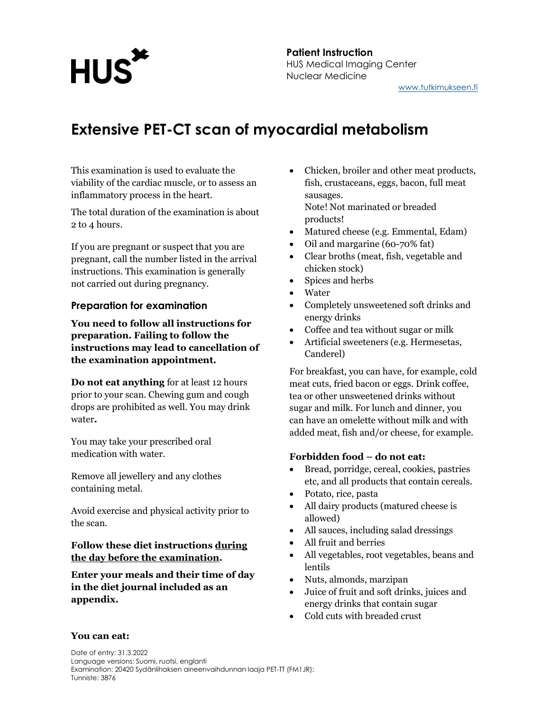## **HUS**

#### Patient Instruction HUS Medical Imaging Center Nuclear Medicine www.tutkimukseen.fi

### Extensive PET-CT scan of myocardial metabolism

This examination is used to evaluate the viability of the cardiac muscle, or to assess an inflammatory process in the heart.

The total duration of the examination is about 2 to 4 hours.

If you are pregnant or suspect that you are pregnant, call the number listed in the arrival instructions. This examination is generally not carried out during pregnancy.

#### Preparation for examination

You need to follow all instructions for preparation. Failing to follow the instructions may lead to cancellation of the examination appointment.

Do not eat anything for at least 12 hours prior to your scan. Chewing gum and cough drops are prohibited as well. You may drink water.

You may take your prescribed oral medication with water.

Remove all jewellery and any clothes containing metal.

Avoid exercise and physical activity prior to the scan.

#### Follow these diet instructions during the day before the examination.

Enter your meals and their time of day in the diet journal included as an appendix.

- Chicken, broiler and other meat products, fish, crustaceans, eggs, bacon, full meat sausages. Note! Not marinated or breaded products!
- Matured cheese (e.g. Emmental, Edam)
- Oil and margarine (60-70% fat)
- Clear broths (meat, fish, vegetable and chicken stock)
- Spices and herbs
- Water
- Completely unsweetened soft drinks and energy drinks
- Coffee and tea without sugar or milk
- Artificial sweeteners (e.g. Hermesetas, Canderel)

For breakfast, you can have, for example, cold meat cuts, fried bacon or eggs. Drink coffee, tea or other unsweetened drinks without sugar and milk. For lunch and dinner, you can have an omelette without milk and with added meat, fish and/or cheese, for example.

#### Forbidden food – do not eat:

- Bread, porridge, cereal, cookies, pastries etc, and all products that contain cereals.
- Potato, rice, pasta
- All dairy products (matured cheese is allowed)
- All sauces, including salad dressings
- All fruit and berries
- All vegetables, root vegetables, beans and lentils
- Nuts, almonds, marzipan
- Juice of fruit and soft drinks, juices and energy drinks that contain sugar
- Cold cuts with breaded crust

#### You can eat: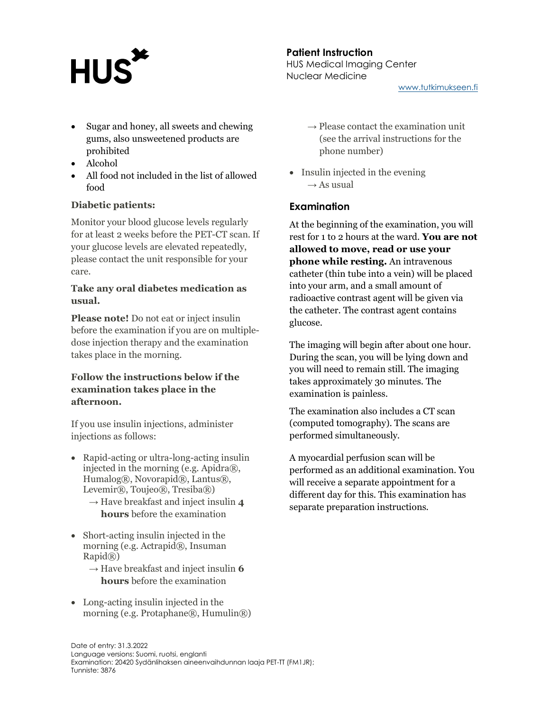## **HUS**

Patient Instruction HUS Medical Imaging Center Nuclear Medicine

www.tutkimukseen.fi

- Sugar and honey, all sweets and chewing gums, also unsweetened products are prohibited
- Alcohol
- All food not included in the list of allowed food

#### Diabetic patients:

Monitor your blood glucose levels regularly for at least 2 weeks before the PET-CT scan. If your glucose levels are elevated repeatedly, please contact the unit responsible for your care.

#### Take any oral diabetes medication as usual.

Please note! Do not eat or inject insulin before the examination if you are on multipledose injection therapy and the examination takes place in the morning.

#### Follow the instructions below if the examination takes place in the afternoon.

If you use insulin injections, administer injections as follows:

- Rapid-acting or ultra-long-acting insulin injected in the morning (e.g. Apidra®, Humalog®, Novorapid®, Lantus®, Levemir®, Toujeo®, Tresiba®)
	- $\rightarrow$  Have breakfast and inject insulin 4 hours before the examination
- Short-acting insulin injected in the morning (e.g. Actrapid®, Insuman Rapid®)
	- $\rightarrow$  Have breakfast and inject insulin 6 hours before the examination
- Long-acting insulin injected in the morning (e.g. Protaphane $(\mathbb{R})$ , Humulin $(\mathbb{R})$ )
- $\rightarrow$  Please contact the examination unit (see the arrival instructions for the phone number)
- Insulin injected in the evening  $\rightarrow$  As usual

#### **Examination**

At the beginning of the examination, you will rest for 1 to 2 hours at the ward. You are not allowed to move, read or use your phone while resting. An intravenous catheter (thin tube into a vein) will be placed into your arm, and a small amount of radioactive contrast agent will be given via the catheter. The contrast agent contains glucose.

The imaging will begin after about one hour. During the scan, you will be lying down and you will need to remain still. The imaging takes approximately 30 minutes. The examination is painless.

The examination also includes a CT scan (computed tomography). The scans are performed simultaneously.

A myocardial perfusion scan will be performed as an additional examination. You will receive a separate appointment for a different day for this. This examination has separate preparation instructions.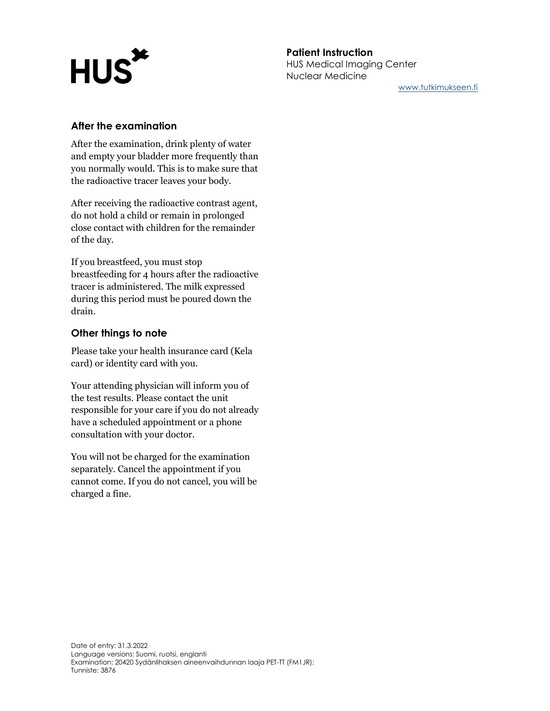# **HUS\***

#### Patient Instruction HUS Medical Imaging Center Nuclear Medicine

www.tutkimukseen.fi

#### After the examination

After the examination, drink plenty of water and empty your bladder more frequently than you normally would. This is to make sure that the radioactive tracer leaves your body.

After receiving the radioactive contrast agent, do not hold a child or remain in prolonged close contact with children for the remainder of the day.

If you breastfeed, you must stop breastfeeding for 4 hours after the radioactive tracer is administered. The milk expressed during this period must be poured down the drain.

#### Other things to note

Please take your health insurance card (Kela card) or identity card with you.

Your attending physician will inform you of the test results. Please contact the unit responsible for your care if you do not already have a scheduled appointment or a phone consultation with your doctor.

You will not be charged for the examination separately. Cancel the appointment if you cannot come. If you do not cancel, you will be charged a fine.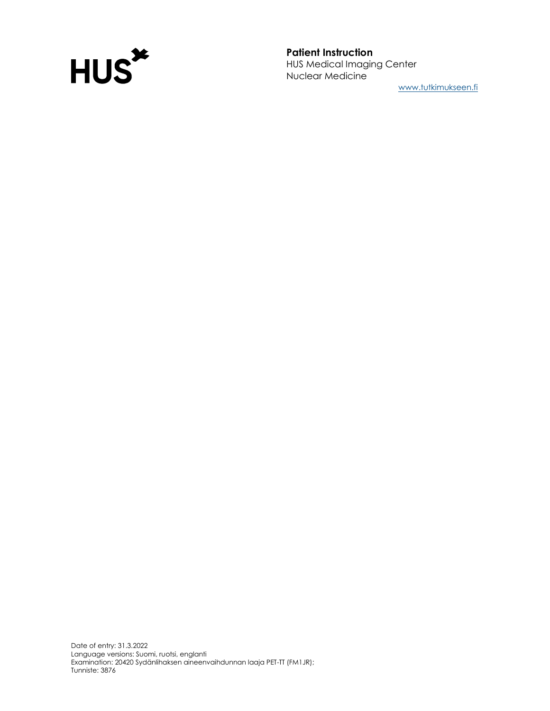

www.tutkimukseen.fi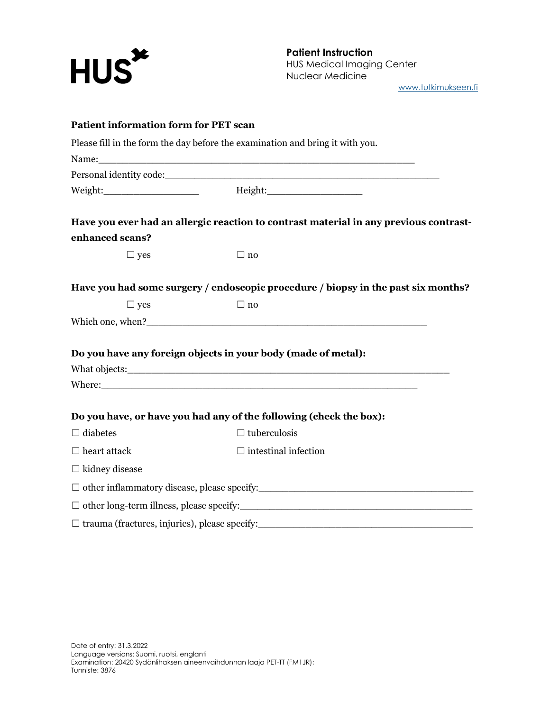

www.tutkimukseen.fi

| <b>Patient information form for PET scan</b>         |                                                                                       |
|------------------------------------------------------|---------------------------------------------------------------------------------------|
|                                                      | Please fill in the form the day before the examination and bring it with you.         |
|                                                      |                                                                                       |
|                                                      |                                                                                       |
|                                                      |                                                                                       |
|                                                      | Have you ever had an allergic reaction to contrast material in any previous contrast- |
| enhanced scans?                                      |                                                                                       |
| $\Box$ yes                                           | $\Box$ no                                                                             |
|                                                      | Have you had some surgery / endoscopic procedure / biopsy in the past six months?     |
| $\Box$ yes                                           | $\Box$ no                                                                             |
|                                                      |                                                                                       |
|                                                      | Do you have any foreign objects in your body (made of metal):                         |
|                                                      |                                                                                       |
|                                                      |                                                                                       |
|                                                      |                                                                                       |
|                                                      | Do you have, or have you had any of the following (check the box):                    |
| $\Box$ diabetes                                      | $\Box$ tuberculosis                                                                   |
| $\Box$ heart attack                                  | $\Box$ intestinal infection                                                           |
| $\Box$ kidney disease                                |                                                                                       |
|                                                      |                                                                                       |
|                                                      |                                                                                       |
| $\Box$ trauma (fractures, injuries), please specify: |                                                                                       |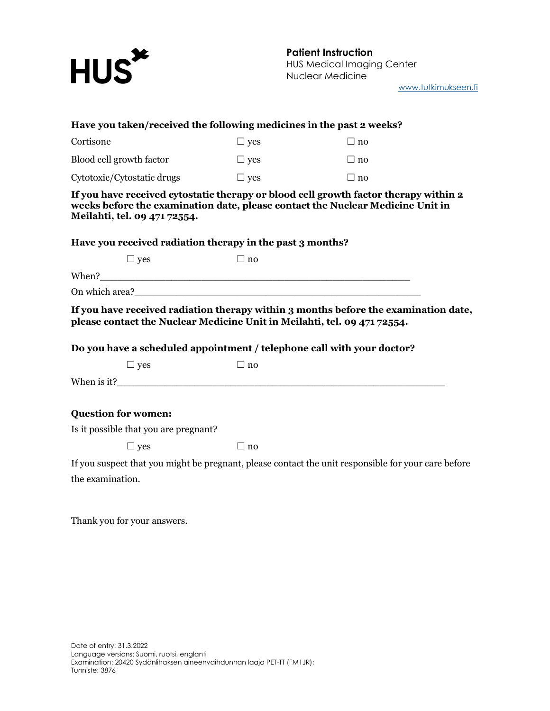

www.tutkimukseen.fi

| Have you taken/received the following medicines in the past 2 weeks?     |            |                                                                                                                                                                        |
|--------------------------------------------------------------------------|------------|------------------------------------------------------------------------------------------------------------------------------------------------------------------------|
| Cortisone                                                                | $\Box$ yes | $\Box$ no                                                                                                                                                              |
| Blood cell growth factor                                                 | $\Box$ yes | $\Box$ no                                                                                                                                                              |
| Cytotoxic/Cytostatic drugs                                               | $\Box$ yes | $\Box$ no                                                                                                                                                              |
| Meilahti, tel. 09 471 72554.                                             |            | If you have received cytostatic therapy or blood cell growth factor therapy within 2<br>weeks before the examination date, please contact the Nuclear Medicine Unit in |
| Have you received radiation therapy in the past 3 months?                |            |                                                                                                                                                                        |
| $\Box$ yes                                                               | $\Box$ no  |                                                                                                                                                                        |
|                                                                          |            |                                                                                                                                                                        |
|                                                                          |            |                                                                                                                                                                        |
| please contact the Nuclear Medicine Unit in Meilahti, tel. 09 471 72554. |            | If you have received radiation therapy within 3 months before the examination date,                                                                                    |
| Do you have a scheduled appointment / telephone call with your doctor?   |            |                                                                                                                                                                        |
| $\Box$ yes                                                               | $\Box$ no  |                                                                                                                                                                        |
|                                                                          |            |                                                                                                                                                                        |
| <b>Question for women:</b>                                               |            |                                                                                                                                                                        |
| Is it possible that you are pregnant?                                    |            |                                                                                                                                                                        |
| $\Box$ yes                                                               | $\Box$ no  |                                                                                                                                                                        |
|                                                                          |            | If you suspect that you might be pregnant, please contact the unit responsible for your care before                                                                    |
|                                                                          |            |                                                                                                                                                                        |
| the examination.                                                         |            |                                                                                                                                                                        |

Thank you for your answers.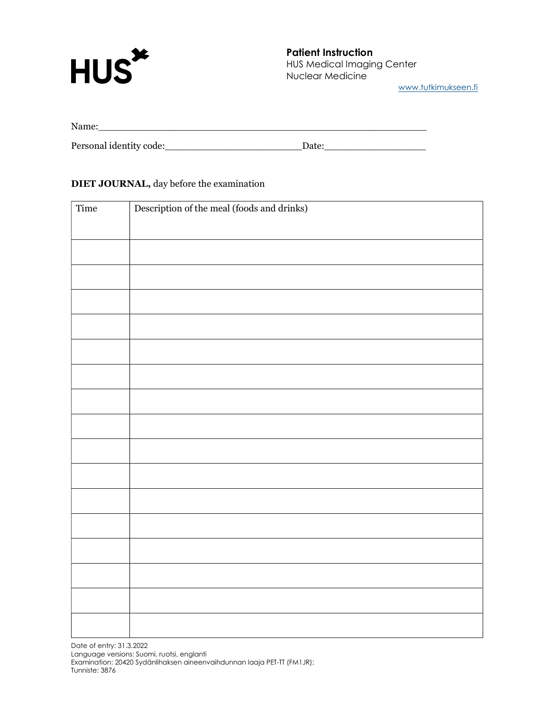

www.tutkimukseen.fi

| Name:                   |       |
|-------------------------|-------|
|                         |       |
| Personal identity code: | Date: |

#### DIET JOURNAL, day before the examination

| Time | Description of the meal (foods and drinks) |
|------|--------------------------------------------|
|      |                                            |
|      |                                            |
|      |                                            |
|      |                                            |
|      |                                            |
|      |                                            |
|      |                                            |
|      |                                            |
|      |                                            |
|      |                                            |
|      |                                            |
|      |                                            |
|      |                                            |
|      |                                            |
|      |                                            |
|      |                                            |
|      |                                            |

Date of entry: 31.3.2022 Language versions: Suomi, ruotsi, englanti Examination: 20420 Sydänlihaksen aineenvaihdunnan laaja PET-TT (FM1JR); Tunniste: 3876